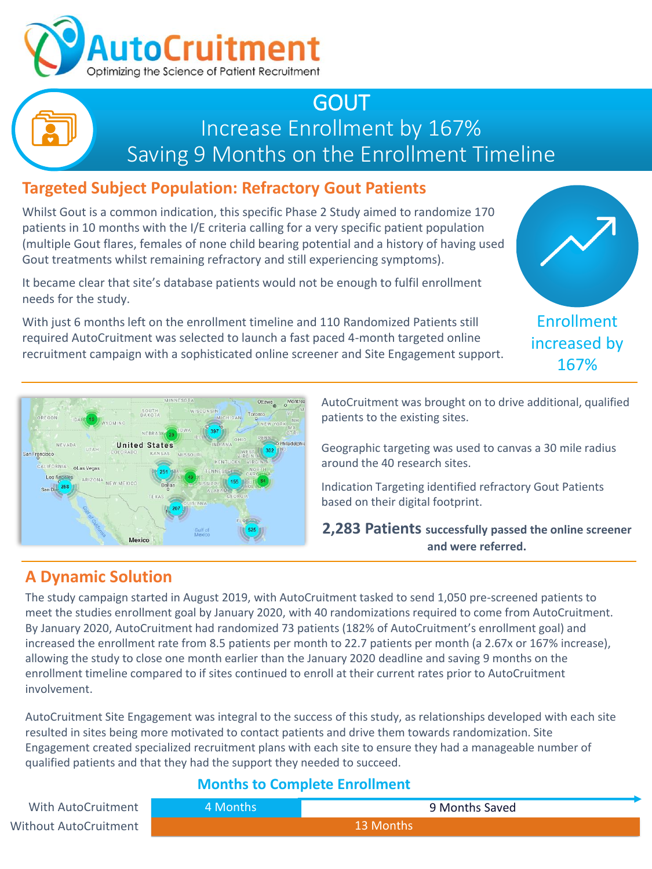

## GOUT Increase Enrollment by 167% Saving 9 Months on the Enrollment Timeline

## **Targeted Subject Population: Refractory Gout Patients**

Whilst Gout is a common indication, this specific Phase 2 Study aimed to randomize 170 patients in 10 months with the I/E criteria calling for a very specific patient population (multiple Gout flares, females of none child bearing potential and a history of having used Gout treatments whilst remaining refractory and still experiencing symptoms).

It became clear that site's database patients would not be enough to fulfil enrollment needs for the study.

With just 6 months left on the enrollment timeline and 110 Randomized Patients still required AutoCruitment was selected to launch a fast paced 4-month targeted online recruitment campaign with a sophisticated online screener and Site Engagement support.



increased by 167%



AutoCruitment was brought on to drive additional, qualified patients to the existing sites.

Geographic targeting was used to canvas a 30 mile radius around the 40 research sites.

Indication Targeting identified refractory Gout Patients based on their digital footprint.

**2,283 Patients successfully passed the online screener and were referred.**

## **A Dynamic Solution**

The study campaign started in August 2019, with AutoCruitment tasked to send 1,050 pre-screened patients to meet the studies enrollment goal by January 2020, with 40 randomizations required to come from AutoCruitment. By January 2020, AutoCruitment had randomized 73 patients (182% of AutoCruitment's enrollment goal) and increased the enrollment rate from 8.5 patients per month to 22.7 patients per month (a 2.67x or 167% increase), allowing the study to close one month earlier than the January 2020 deadline and saving 9 months on the enrollment timeline compared to if sites continued to enroll at their current rates prior to AutoCruitment involvement.

AutoCruitment Site Engagement was integral to the success of this study, as relationships developed with each site resulted in sites being more motivated to contact patients and drive them towards randomization. Site Engagement created specialized recruitment plans with each site to ensure they had a manageable number of qualified patients and that they had the support they needed to succeed.

#### **Months to Complete Enrollment**

13 Months 4 Months 9 Months Saved Without AutoCruitment With AutoCruitment